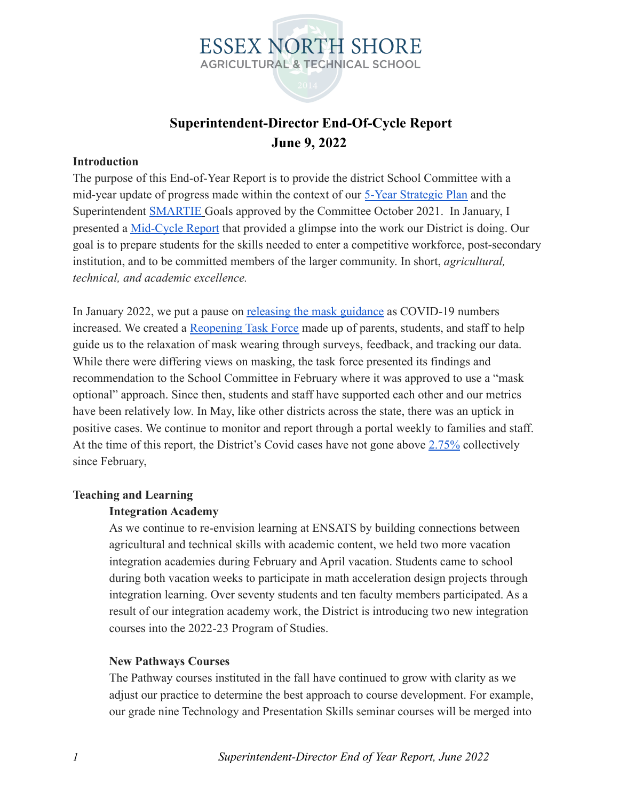

### **Superintendent-Director End-Of-Cycle Report June 9, 2022**

### **Introduction**

The purpose of this End-of-Year Report is to provide the district School Committee with a mid-year update of progress made within the context of our [5-Year Strategic Plan](https://docs.google.com/document/d/1McN2Fh2-y1KBVqHSGDVt_1WXzJ7gQJ9Ivy75DiU55Kc/edit?usp=sharing) and the Superintendent [SMARTIE](https://docs.google.com/document/d/1WlLh-zF25tsCNXnzA1w_tAKVMY9Y6d4z1pelxUmw2cI/edit?usp=sharing) Goals approved by the Committee October 2021. In January, I presented a [Mid-Cycle Report](https://docs.google.com/document/d/1IwCrcZtYWEtCJmihSyZxZ3h63DtMytMu_qmwhEvIhYw/edit?usp=sharingZtYWEtCJmihSyZxZ3h63DtMytMu_qmwhEvIhYw/edit?usp=sharing) that provided a glimpse into the work our District is doing. Our goal is to prepare students for the skills needed to enter a competitive workforce, post-secondary institution, and to be committed members of the larger community. In short, *agricultural, technical, and academic excellence.*

In January 2022, we put a pause on [releasing the mask](https://docs.google.com/presentation/d/1wf2yQmnpATMlmg04vwVsvmVngRyxstqbY7wvglvvNrs/edit#slide=id.g5292f54c65_0_142) guidance as COVID-19 numbers increased. We created a [Reopening Task Force](https://docs.google.com/presentation/d/1egcv2DDvUC7IZbrXz2_yDUCYPCcv4mkL2M6WFOKszcU/edit?usp=sharing) made up of parents, students, and staff to help guide us to the relaxation of mask wearing through surveys, feedback, and tracking our data. While there were differing views on masking, the task force presented its findings and recommendation to the School Committee in February where it was approved to use a "mask optional" approach. Since then, students and staff have supported each other and our metrics have been relatively low. In May, like other districts across the state, there was an uptick in positive cases. We continue to monitor and report through a portal weekly to families and staff. At the time of this report, the District's Covid cases have not gone above [2.75%](https://docs.google.com/document/d/19jRqgTFhcBMok3OBVAUWEoTxqCOSMWPcUiDr4mj05ec/edit?usp=sharing) collectively since February,

#### **Teaching and Learning**

### **Integration Academy**

As we continue to re-envision learning at ENSATS by building connections between agricultural and technical skills with academic content, we held two more vacation integration academies during February and April vacation. Students came to school during both vacation weeks to participate in math acceleration design projects through integration learning. Over seventy students and ten faculty members participated. As a result of our integration academy work, the District is introducing two new integration courses into the 2022-23 Program of Studies.

### **New Pathways Courses**

The Pathway courses instituted in the fall have continued to grow with clarity as we adjust our practice to determine the best approach to course development. For example, our grade nine Technology and Presentation Skills seminar courses will be merged into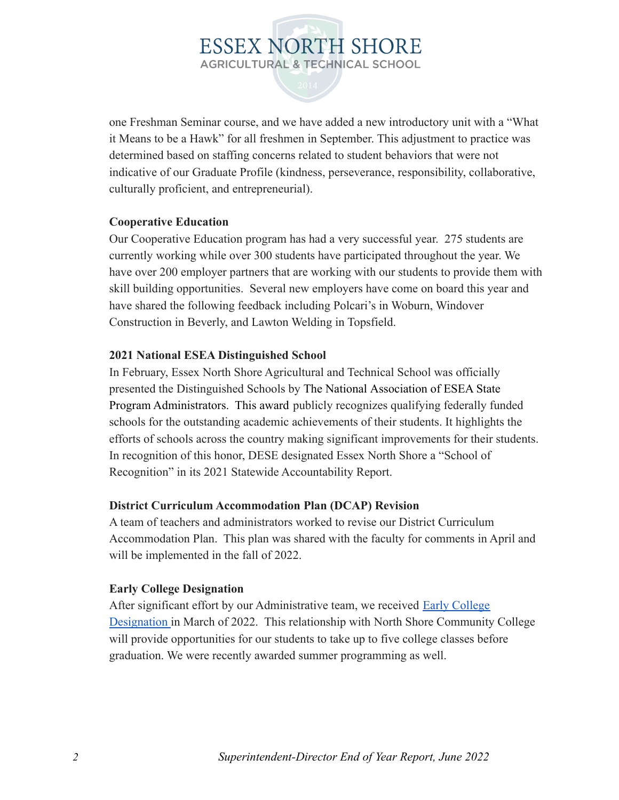one Freshman Seminar course, and we have added a new introductory unit with a "What it Means to be a Hawk" for all freshmen in September. This adjustment to practice was determined based on staffing concerns related to student behaviors that were not indicative of our Graduate Profile (kindness, perseverance, responsibility, collaborative, culturally proficient, and entrepreneurial).

### **Cooperative Education**

Our Cooperative Education program has had a very successful year. 275 students are currently working while over 300 students have participated throughout the year. We have over 200 employer partners that are working with our students to provide them with skill building opportunities. Several new employers have come on board this year and have shared the following feedback including Polcari's in Woburn, Windover Construction in Beverly, and Lawton Welding in Topsfield.

### **2021 National ESEA Distinguished School**

In February, Essex North Shore Agricultural and Technical School was officially presented the Distinguished Schools by The National Association of ESEA State Program Administrators. This award publicly recognizes qualifying federally funded schools for the outstanding academic achievements of their students. It highlights the efforts of schools across the country making significant improvements for their students. In recognition of this honor, DESE designated Essex North Shore a "School of Recognition" in its 2021 Statewide Accountability Report.

### **District Curriculum Accommodation Plan (DCAP) Revision**

A team of teachers and administrators worked to revise our District Curriculum Accommodation Plan. This plan was shared with the faculty for comments in April and will be implemented in the fall of 2022.

### **Early College Designation**

After significant effort by our Administrative team, we received [Early College](https://docs.google.com/document/d/1HJSJqlnNagjQONfcOZYDOCnDrzKyJaeHYy8WszPWGyk/edit?usp=sharing) [Designation](https://docs.google.com/document/d/1HJSJqlnNagjQONfcOZYDOCnDrzKyJaeHYy8WszPWGyk/edit?usp=sharing) in March of 2022. This relationship with North Shore Community College will provide opportunities for our students to take up to five college classes before graduation. We were recently awarded summer programming as well.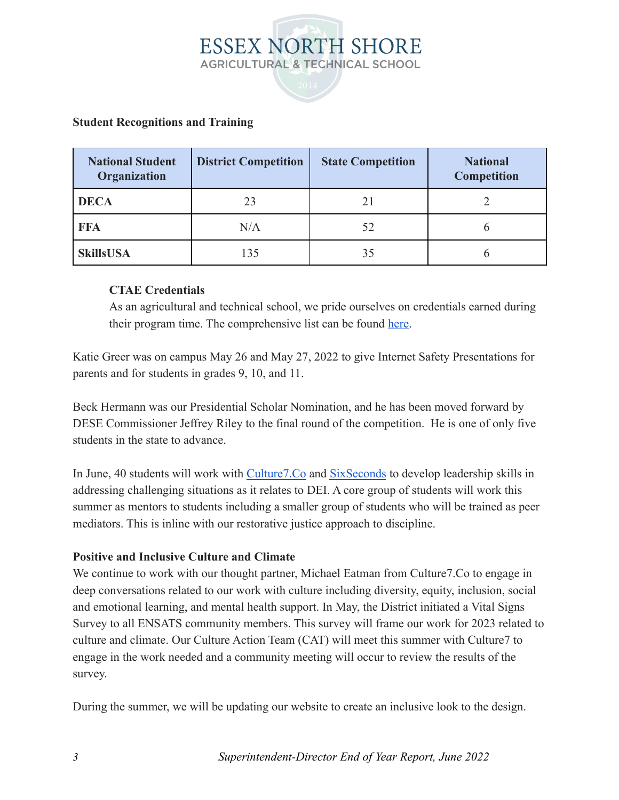

### **Student Recognitions and Training**

| <b>National Student</b><br><b>Organization</b> | <b>District Competition</b> | <b>State Competition</b> | <b>National</b><br><b>Competition</b> |
|------------------------------------------------|-----------------------------|--------------------------|---------------------------------------|
| <b>DECA</b>                                    | 23                          | 21                       |                                       |
| <b>FFA</b>                                     | N/A                         | 52                       |                                       |
| <b>SkillsUSA</b>                               | 135                         | 35                       |                                       |

### **CTAE Credentials**

As an agricultural and technical school, we pride ourselves on credentials earned during their program time. The comprehensive list can be found [here.](https://docs.google.com/document/d/13nGOdMCWo7kHylbdySqEPHNjqiO3ENZswfkNpCtIPJw/edit?usp=sharing)

Katie Greer was on campus May 26 and May 27, 2022 to give Internet Safety Presentations for parents and for students in grades 9, 10, and 11.

Beck Hermann was our Presidential Scholar Nomination, and he has been moved forward by DESE Commissioner Jeffrey Riley to the final round of the competition. He is one of only five students in the state to advance.

In June, 40 students will work with [Culture7.Co](http://culture7.co/) and [SixSeconds](https://www.6seconds.org/) to develop leadership skills in addressing challenging situations as it relates to DEI. A core group of students will work this summer as mentors to students including a smaller group of students who will be trained as peer mediators. This is inline with our restorative justice approach to discipline.

### **Positive and Inclusive Culture and Climate**

We continue to work with our thought partner, Michael Eatman from Culture7.Co to engage in deep conversations related to our work with culture including diversity, equity, inclusion, social and emotional learning, and mental health support. In May, the District initiated a Vital Signs Survey to all ENSATS community members. This survey will frame our work for 2023 related to culture and climate. Our Culture Action Team (CAT) will meet this summer with Culture7 to engage in the work needed and a community meeting will occur to review the results of the survey.

During the summer, we will be updating our website to create an inclusive look to the design.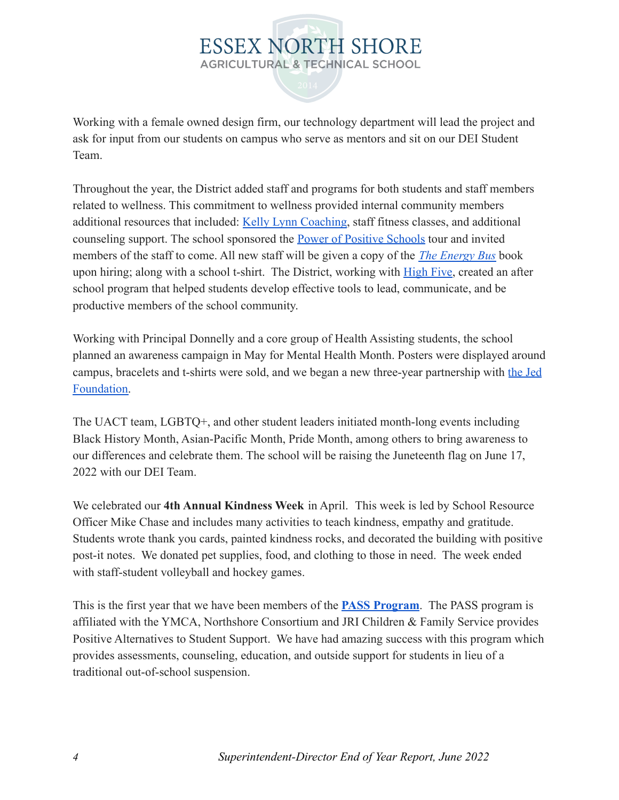Working with a female owned design firm, our technology department will lead the project and ask for input from our students on campus who serve as mentors and sit on our DEI Student Team.

Throughout the year, the District added staff and programs for both students and staff members related to wellness. This commitment to wellness provided internal community members additional resources that included: [Kelly Lynn Coaching](https://kellylynncoaching.com/about/), staff fitness classes, and additional counseling support. The school sponsored the Power [of Positive Schools](https://www.powerofpositiveschools.com/) tour and invited members of the staff to come. All new staff will be given a copy of the *[The Energy Bus](https://jongordon.com/books/theenergybus/)* book upon hiring; along with a school t-shirt. The District, working with [High Five,](https://high5adventure.org/) created an after school program that helped students develop effective tools to lead, communicate, and be productive members of the school community.

Working with Principal Donnelly and a core group of Health Assisting students, the school planned an awareness campaign in May for Mental Health Month. Posters were displayed around campus, bracelets and t-shirts were sold, and we began a new three-year partnership with [the Jed](https://jedfoundation.org/) [Foundation.](https://jedfoundation.org/)

The UACT team, LGBTQ+, and other student leaders initiated month-long events including Black History Month, Asian-Pacific Month, Pride Month, among others to bring awareness to our differences and celebrate them. The school will be raising the Juneteenth flag on June 17, 2022 with our DEI Team.

We celebrated our **4th Annual Kindness Week** in April. This week is led by School Resource Officer Mike Chase and includes many activities to teach kindness, empathy and gratitude. Students wrote thank you cards, painted kindness rocks, and decorated the building with positive post-it notes. We donated pet supplies, food, and clothing to those in need. The week ended with staff-student volleyball and hockey games.

This is the first year that we have been members of the **[PASS Program](https://sites.google.com/northshoreymca.org/passnetwork/home)**. The PASS program is affiliated with the YMCA, Northshore Consortium and JRI Children & Family Service provides Positive Alternatives to Student Support. We have had amazing success with this program which provides assessments, counseling, education, and outside support for students in lieu of a traditional out-of-school suspension.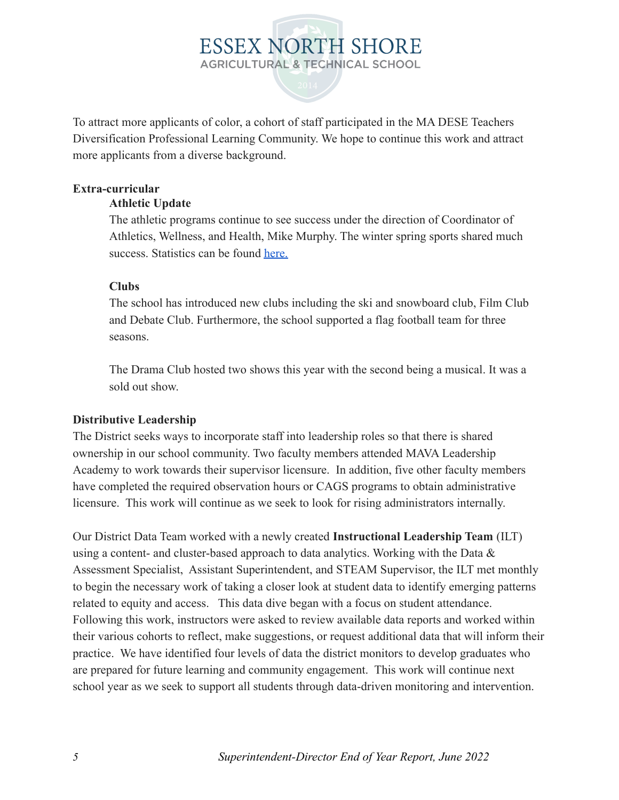To attract more applicants of color, a cohort of staff participated in the MA DESE Teachers Diversification Professional Learning Community. We hope to continue this work and attract more applicants from a diverse background.

### **Extra-curricular**

### **Athletic Update**

The athletic programs continue to see success under the direction of Coordinator of Athletics, Wellness, and Health, Mike Murphy. The winter spring sports shared much success. Statistics can be found [here.](https://docs.google.com/document/d/1LKeiP4yIg760tveN1tLUE6DQtsWrZCW-jsvVx45tAwQ/edit?usp=sharing)

### **Clubs**

The school has introduced new clubs including the ski and snowboard club, Film Club and Debate Club. Furthermore, the school supported a flag football team for three seasons.

The Drama Club hosted two shows this year with the second being a musical. It was a sold out show.

### **Distributive Leadership**

The District seeks ways to incorporate staff into leadership roles so that there is shared ownership in our school community. Two faculty members attended MAVA Leadership Academy to work towards their supervisor licensure. In addition, five other faculty members have completed the required observation hours or CAGS programs to obtain administrative licensure. This work will continue as we seek to look for rising administrators internally.

Our District Data Team worked with a newly created **Instructional Leadership Team** (ILT) using a content- and cluster-based approach to data analytics. Working with the Data & Assessment Specialist, Assistant Superintendent, and STEAM Supervisor, the ILT met monthly to begin the necessary work of taking a closer look at student data to identify emerging patterns related to equity and access. This data dive began with a focus on student attendance. Following this work, instructors were asked to review available data reports and worked within their various cohorts to reflect, make suggestions, or request additional data that will inform their practice. We have identified four levels of data the district monitors to develop graduates who are prepared for future learning and community engagement. This work will continue next school year as we seek to support all students through data-driven monitoring and intervention.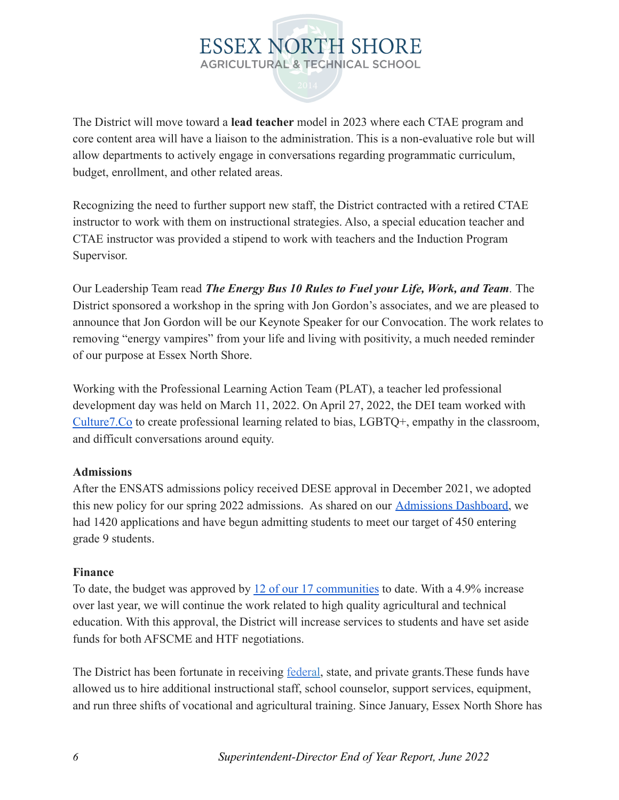The District will move toward a **lead teacher** model in 2023 where each CTAE program and core content area will have a liaison to the administration. This is a non-evaluative role but will allow departments to actively engage in conversations regarding programmatic curriculum, budget, enrollment, and other related areas.

Recognizing the need to further support new staff, the District contracted with a retired CTAE instructor to work with them on instructional strategies. Also, a special education teacher and CTAE instructor was provided a stipend to work with teachers and the Induction Program Supervisor.

Our Leadership Team read *The Energy Bus 10 Rules to [Fuel your Life, Work, and Team](https://www.theenergybus.com/).* The District sponsored a workshop in the spring with Jon Gordon's associates, and we are pleased to announce that Jon Gordon will be our Keynote Speaker for our Convocation. The work relates to removing "energy vampires" from your life and living with positivity, a much needed reminder of our purpose at Essex North Shore.

Working with the Professional Learning Action Team (PLAT), a teacher led professional development day was held on March 11, 2022. On April 27, 2022, the DEI team worked with [Culture7.Co](http://culture7.co/) to create professional learning related to bias, LGBTQ+, empathy in the classroom, and difficult conversations around equity.

### **Admissions**

After the ENSATS admissions policy received DESE approval in December 2021, we adopted this new policy for our spring 2022 admissions. As shared on our [Admissions Dashboard,](https://essexnorthshore.org/admissions-dashboard/) we had 1420 applications and have begun admitting students to meet our target of 450 entering grade 9 students.

### **Finance**

To date, the budget was approved by [12 of our 17 communities](https://docs.google.com/document/d/1DMfS7Y7_IN3OFMOr74pkgXcyPjOvZlfFhdiLfp0BEGw/edit?usp=sharing) to date. With a 4.9% increase over last year, we will continue the work related to high quality agricultural and technical education. With this approval, the District will increase services to students and have set aside funds for both AFSCME and HTF negotiations.

The District has been fortunate in receiving <u>federal</u>, state, and private grants. These funds have allowed us to hire additional instructional staff, school counselor, support services, equipment, and run three shifts of vocational and agricultural training. Since January, Essex North Shore has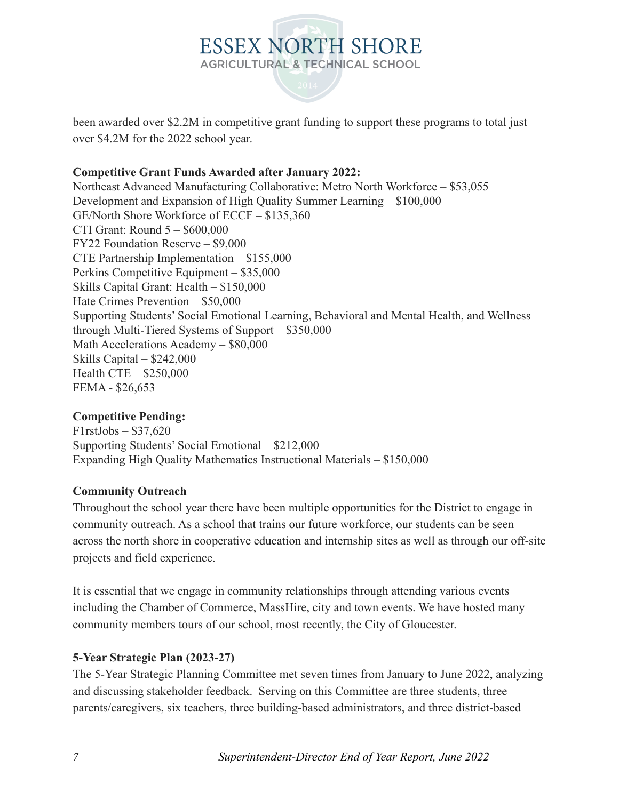

been awarded over \$2.2M in competitive grant funding to support these programs to total just over \$4.2M for the 2022 school year.

### **Competitive Grant Funds Awarded after January 2022:**

Northeast Advanced Manufacturing Collaborative: Metro North Workforce – \$53,055 Development and Expansion of High Quality Summer Learning – \$100,000 GE/North Shore Workforce of ECCF – \$135,360 CTI Grant: Round 5 – \$600,000 FY22 Foundation Reserve – \$9,000 CTE Partnership Implementation – \$155,000 Perkins Competitive Equipment – \$35,000 Skills Capital Grant: Health – \$150,000 Hate Crimes Prevention – \$50,000 Supporting Students' Social Emotional Learning, Behavioral and Mental Health, and Wellness through Multi-Tiered Systems of Support – \$350,000 Math Accelerations Academy – \$80,000 Skills Capital – \$242,000 Health CTE – \$250,000 FEMA - \$26,653

### **Competitive Pending:**

 $F1$ rstJobs – \$37,620 Supporting Students' Social Emotional – \$212,000 Expanding High Quality Mathematics Instructional Materials – \$150,000

### **Community Outreach**

Throughout the school year there have been multiple opportunities for the District to engage in community outreach. As a school that trains our future workforce, our students can be seen across the north shore in cooperative education and internship sites as well as through our off-site projects and field experience.

It is essential that we engage in community relationships through attending various events including the Chamber of Commerce, MassHire, city and town events. We have hosted many community members tours of our school, most recently, the City of Gloucester.

### **5-Year Strategic Plan (2023-27)**

The 5-Year Strategic Planning Committee met seven times from January to June 2022, analyzing and discussing stakeholder feedback. Serving on this Committee are three students, three parents/caregivers, six teachers, three building-based administrators, and three district-based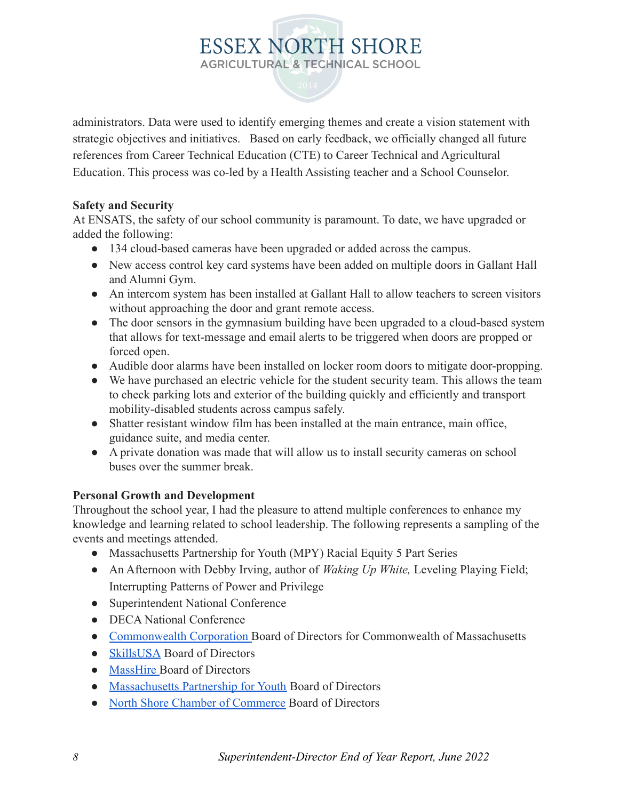administrators. Data were used to identify emerging themes and create a vision statement with strategic objectives and initiatives. Based on early feedback, we officially changed all future references from Career Technical Education (CTE) to Career Technical and Agricultural Education. This process was co-led by a Health Assisting teacher and a School Counselor.

### **Safety and Security**

At ENSATS, the safety of our school community is paramount. To date, we have upgraded or added the following:

- 134 cloud-based cameras have been upgraded or added across the campus.
- New access control key card systems have been added on multiple doors in Gallant Hall and Alumni Gym.
- An intercom system has been installed at Gallant Hall to allow teachers to screen visitors without approaching the door and grant remote access.
- The door sensors in the gymnasium building have been upgraded to a cloud-based system that allows for text-message and email alerts to be triggered when doors are propped or forced open.
- Audible door alarms have been installed on locker room doors to mitigate door-propping.
- We have purchased an electric vehicle for the student security team. This allows the team to check parking lots and exterior of the building quickly and efficiently and transport mobility-disabled students across campus safely.
- Shatter resistant window film has been installed at the main entrance, main office, guidance suite, and media center.
- A private donation was made that will allow us to install security cameras on school buses over the summer break.

### **Personal Growth and Development**

Throughout the school year, I had the pleasure to attend multiple conferences to enhance my knowledge and learning related to school leadership. The following represents a sampling of the events and meetings attended.

- Massachusetts Partnership for Youth (MPY) Racial Equity 5 Part Series
- An Afternoon with Debby Irving, author of *Waking Up White,* Leveling Playing Field; Interrupting Patterns of Power and Privilege
- Superintendent National Conference
- **DECA National Conference**
- [Commonwealth Corporation](https://commcorp.org/) Board of Directors for Commonwealth of Massachusetts
- [SkillsUSA](https://www.maskillsusa.org/) Board of Directors
- [MassHire](https://www.mass.gov/topics/masshire) Board of Directors
- [Massachusetts Partnership for Youth](https://massachusettspartnershipsforyouth.com/) Board of Directors
- [North Shore Chamber of Commerce](https://www.northshorechamber.org/) Board of Directors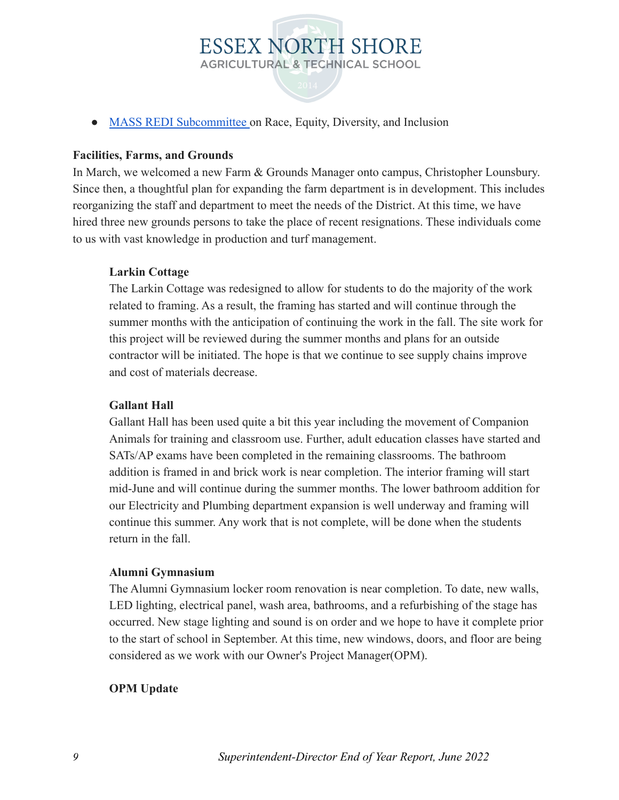

• [MASS REDI Subcommittee](https://www.massupt.org/redi/) on Race, Equity, Diversity, and Inclusion

### **Facilities, Farms, and Grounds**

In March, we welcomed a new Farm & Grounds Manager onto campus, Christopher Lounsbury. Since then, a thoughtful plan for expanding the farm department is in development. This includes reorganizing the staff and department to meet the needs of the District. At this time, we have hired three new grounds persons to take the place of recent resignations. These individuals come to us with vast knowledge in production and turf management.

### **Larkin Cottage**

The Larkin Cottage was redesigned to allow for students to do the majority of the work related to framing. As a result, the framing has started and will continue through the summer months with the anticipation of continuing the work in the fall. The site work for this project will be reviewed during the summer months and plans for an outside contractor will be initiated. The hope is that we continue to see supply chains improve and cost of materials decrease.

### **Gallant Hall**

Gallant Hall has been used quite a bit this year including the movement of Companion Animals for training and classroom use. Further, adult education classes have started and SATs/AP exams have been completed in the remaining classrooms. The bathroom addition is framed in and brick work is near completion. The interior framing will start mid-June and will continue during the summer months. The lower bathroom addition for our Electricity and Plumbing department expansion is well underway and framing will continue this summer. Any work that is not complete, will be done when the students return in the fall.

### **Alumni Gymnasium**

The Alumni Gymnasium locker room renovation is near completion. To date, new walls, LED lighting, electrical panel, wash area, bathrooms, and a refurbishing of the stage has occurred. New stage lighting and sound is on order and we hope to have it complete prior to the start of school in September. At this time, new windows, doors, and floor are being considered as we work with our Owner's Project Manager(OPM).

### **OPM Update**